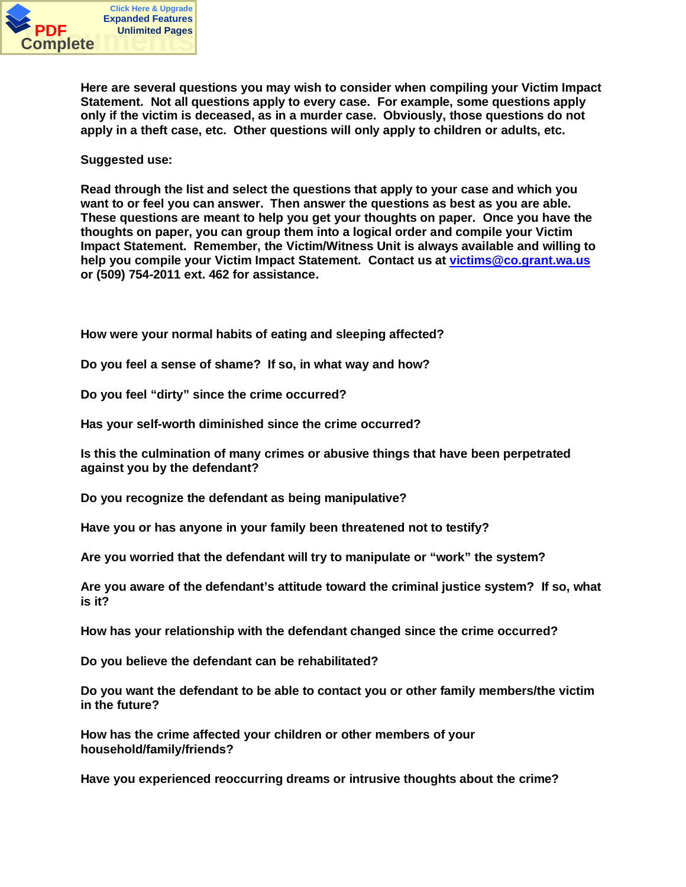

**Here are several questions you may wish to consider when compiling your Victim Impact Statement. Not all questions apply to every case. For example, some questions apply only if the victim is deceased, as in a murder case. Obviously, those questions do not apply in a theft case, etc. Other questions will only apply to children or adults, etc.**

**Suggested use:**

**Read through the list and select the questions that apply to your case and which you want to or feel you can answer. Then answer the questions as best as you are able. These questions are meant to help you get your thoughts on paper. Once you have the thoughts on paper, you can group them into a logical order and compile your Victim Impact Statement. Remember, the Victim/Witness Unit is always available and willing to help you compile your Victim Impact Statement. Contact us at victims@co.grant.wa.us or (509) 754-2011 ext. 462 for assistance.**

**How were your normal habits of eating and sleeping affected?**

**Do you feel a sense of shame? If so, in what way and how?**

**Do you feel "dirty" since the crime occurred?**

**Has your self-worth diminished since the crime occurred?**

**Is this the culmination of many crimes or abusive things that have been perpetrated against you by the defendant?**

**Do you recognize the defendant as being manipulative?**

**Have you or has anyone in your family been threatened not to testify?**

**Are you worried that the defendant will try to manipulate or "work" the system?**

**Are you aware of the defendant's attitude toward the criminal justice system? If so, what is it?**

**How has your relationship with the defendant changed since the crime occurred?**

**Do you believe the defendant can be rehabilitated?**

**Do you want the defendant to be able to contact you or other family members/the victim in the future?**

**How has the crime affected your children or other members of your household/family/friends?**

**Have you experienced reoccurring dreams or intrusive thoughts about the crime?**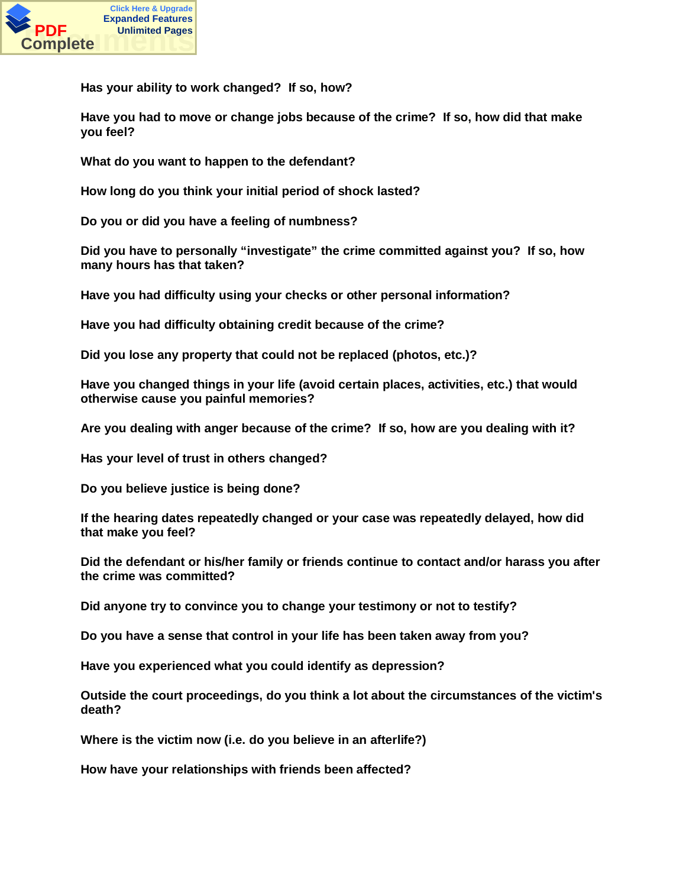

**Has your ability to work changed? If so, how?**

**Have you had to move or change jobs because of the crime? If so, how did that make you feel?**

**What do you want to happen to the defendant?**

**How long do you think your initial period of shock lasted?**

**Do you or did you have a feeling of numbness?**

**Did you have to personally "investigate" the crime committed against you? If so, how many hours has that taken?**

**Have you had difficulty using your checks or other personal information?**

**Have you had difficulty obtaining credit because of the crime?**

**Did you lose any property that could not be replaced (photos, etc.)?**

**Have you changed things in your life (avoid certain places, activities, etc.) that would otherwise cause you painful memories?**

**Are you dealing with anger because of the crime? If so, how are you dealing with it?**

**Has your level of trust in others changed?**

**Do you believe justice is being done?**

**If the hearing dates repeatedly changed or your case was repeatedly delayed, how did that make you feel?**

**Did the defendant or his/her family or friends continue to contact and/or harass you after the crime was committed?**

**Did anyone try to convince you to change your testimony or not to testify?**

**Do you have a sense that control in your life has been taken away from you?**

**Have you experienced what you could identify as depression?**

**Outside the court proceedings, do you think a lot about the circumstances of the victim's death?**

**Where is the victim now (i.e. do you believe in an afterlife?)**

**How have your relationships with friends been affected?**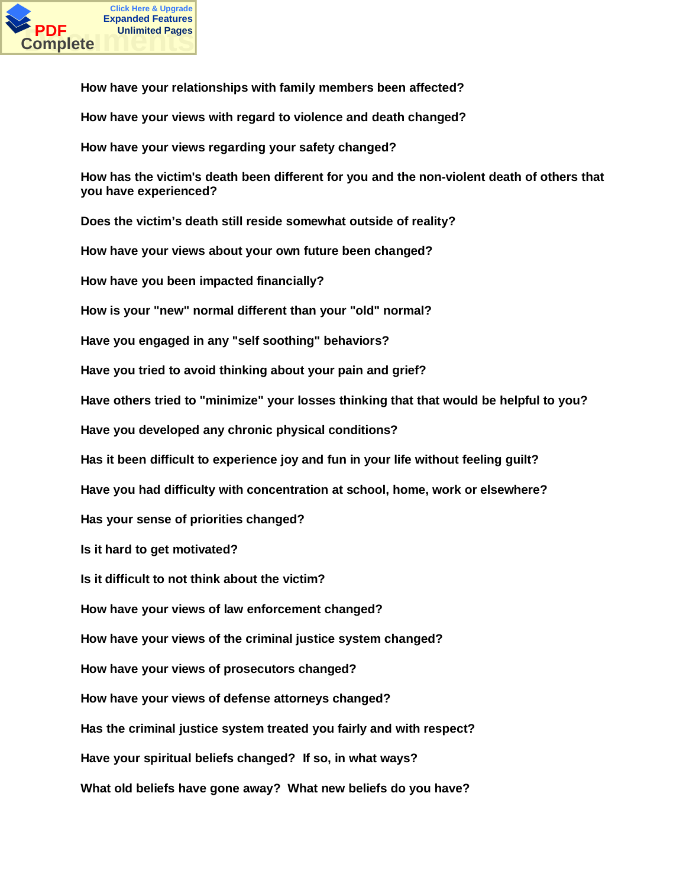

**How have your relationships with family members been affected?**

**How have your views with regard to violence and death changed?**

**How have your views regarding your safety changed?**

**How has the victim's death been different for you and the non-violent death of others that you have experienced?**

**Does the victim's death still reside somewhat outside of reality?**

**How have your views about your own future been changed?**

**How have you been impacted financially?**

**How is your "new" normal different than your "old" normal?**

**Have you engaged in any "self soothing" behaviors?**

**Have you tried to avoid thinking about your pain and grief?**

**Have others tried to "minimize" your losses thinking that that would be helpful to you?**

**Have you developed any chronic physical conditions?**

**Has it been difficult to experience joy and fun in your life without feeling guilt?**

**Have you had difficulty with concentration at school, home, work or elsewhere?**

**Has your sense of priorities changed?**

**Is it hard to get motivated?**

**Is it difficult to not think about the victim?**

**How have your views of law enforcement changed?**

**How have your views of the criminal justice system changed?**

**How have your views of prosecutors changed?**

**How have your views of defense attorneys changed?**

**Has the criminal justice system treated you fairly and with respect?**

**Have your spiritual beliefs changed? If so, in what ways?**

**What old beliefs have gone away? What new beliefs do you have?**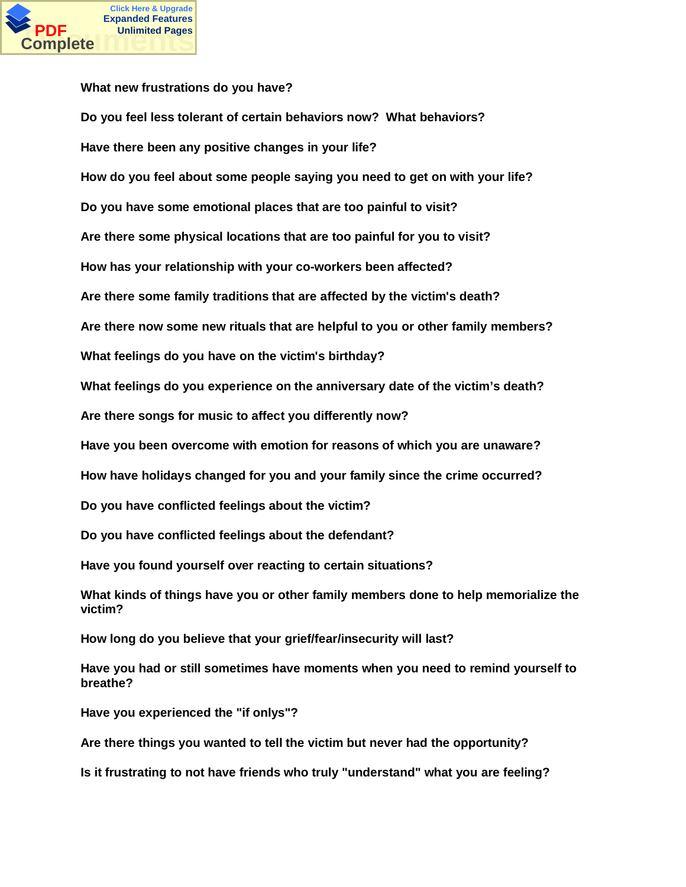

**What new frustrations do you have? Do you feel less tolerant of certain behaviors now? What behaviors? Have there been any positive changes in your life? How do you feel about some people saying you need to get on with your life? Do you have some emotional places that are too painful to visit? Are there some physical locations that are too painful for you to visit? How has your relationship with your co-workers been affected? Are there some family traditions that are affected by the victim's death? Are there now some new rituals that are helpful to you or other family members? What feelings do you have on the victim's birthday? What feelings do you experience on the anniversary date of the victim's death? Are there songs for music to affect you differently now? Have you been overcome with emotion for reasons of which you are unaware? How have holidays changed for you and your family since the crime occurred? Do you have conflicted feelings about the victim? Do you have conflicted feelings about the defendant? Have you found yourself over reacting to certain situations? What kinds of things have you or other family members done to help memorialize the victim? How long do you believe that your grief/fear/insecurity will last? Have you had or still sometimes have moments when you need to remind yourself to breathe?**

**Have you experienced the "if onlys"?**

**Are there things you wanted to tell the victim but never had the opportunity?**

**Is it frustrating to not have friends who truly "understand" what you are feeling?**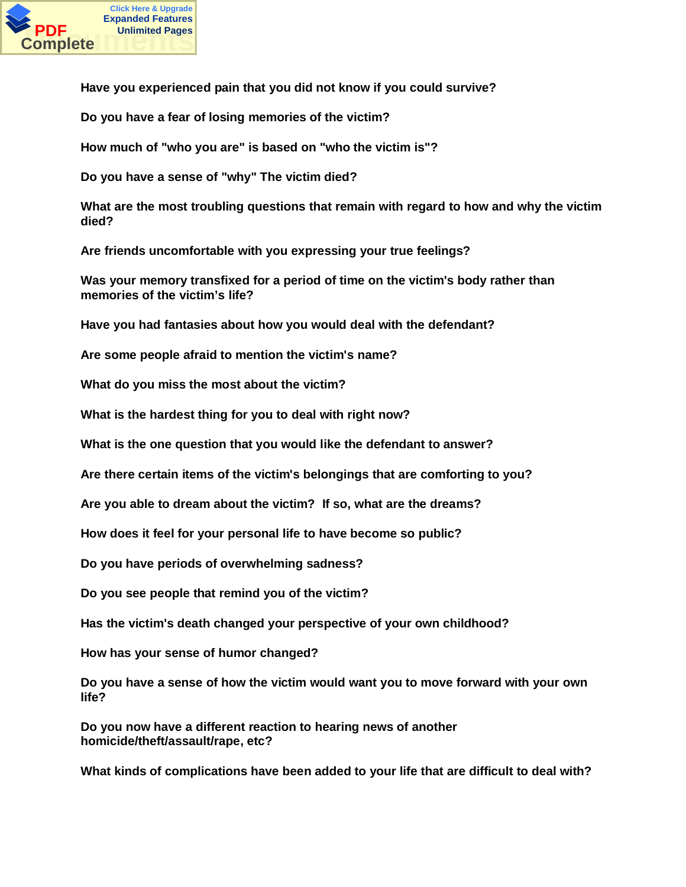

**Have you experienced pain that you did not know if you could survive?**

**Do you have a fear of losing memories of the victim?**

**How much of "who you are" is based on "who the victim is"?**

**Do you have a sense of "why" The victim died?**

**What are the most troubling questions that remain with regard to how and why the victim died?**

**Are friends uncomfortable with you expressing your true feelings?**

**Was your memory transfixed for a period of time on the victim's body rather than memories of the victim's life?**

**Have you had fantasies about how you would deal with the defendant?**

**Are some people afraid to mention the victim's name?**

**What do you miss the most about the victim?**

**What is the hardest thing for you to deal with right now?**

**What is the one question that you would like the defendant to answer?**

**Are there certain items of the victim's belongings that are comforting to you?**

**Are you able to dream about the victim? If so, what are the dreams?**

**How does it feel for your personal life to have become so public?**

**Do you have periods of overwhelming sadness?**

**Do you see people that remind you of the victim?**

**Has the victim's death changed your perspective of your own childhood?**

**How has your sense of humor changed?**

**Do you have a sense of how the victim would want you to move forward with your own life?**

**Do you now have a different reaction to hearing news of another homicide/theft/assault/rape, etc?**

**What kinds of complications have been added to your life that are difficult to deal with?**